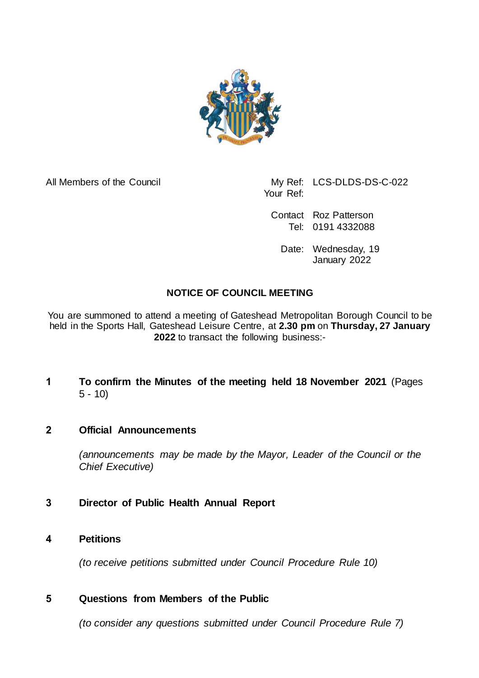

All Members of the Council My Ref: LCS-DLDS-DS-C-022 Your Ref:

> Contact Roz Patterson Tel: 0191 4332088

Date: Wednesday, 19 January 2022

## **NOTICE OF COUNCIL MEETING**

You are summoned to attend a meeting of Gateshead Metropolitan Borough Council to be held in the Sports Hall, Gateshead Leisure Centre, at **2.30 pm** on **Thursday, 27 January 2022** to transact the following business:-

**1 To confirm the Minutes of the meeting held 18 November 2021** (Pages 5 - 10)

## **2 Official Announcements**

*(announcements may be made by the Mayor, Leader of the Council or the Chief Executive)*

## **3 Director of Public Health Annual Report**

#### **4 Petitions**

*(to receive petitions submitted under Council Procedure Rule 10)*

#### **5 Questions from Members of the Public**

*(to consider any questions submitted under Council Procedure Rule 7)*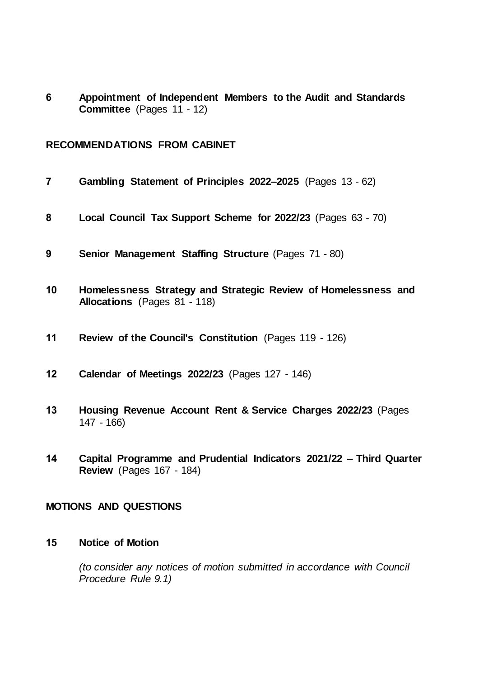**Appointment of Independent Members to the Audit and Standards Committee** (Pages 11 - 12)

#### **RECOMMENDATIONS FROM CABINET**

| $\overline{7}$               | Gambling Statement of Principles 2022-2025 (Pages 13 - 62)                                             |
|------------------------------|--------------------------------------------------------------------------------------------------------|
| 8                            | Local Council Tax Support Scheme for 2022/23 (Pages 63 - 70)                                           |
| 9                            | <b>Senior Management Staffing Structure (Pages 71 - 80)</b>                                            |
| 10                           | Homelessness Strategy and Strategic Review of Homelessness and<br><b>Allocations</b> (Pages 81 - 118)  |
| 11                           | Review of the Council's Constitution (Pages 119 - 126)                                                 |
| 12                           | <b>Calendar of Meetings 2022/23 (Pages 127 - 146)</b>                                                  |
| 13                           | Housing Revenue Account Rent & Service Charges 2022/23 (Pages<br>$147 - 166$                           |
| 14                           | Capital Programme and Prudential Indicators 2021/22 - Third Quarter<br><b>Review</b> (Pages 167 - 184) |
| <b>MOTIONS AND QUESTIONS</b> |                                                                                                        |

### **Notice of Motion**

*(to consider any notices of motion submitted in accordance with Council Procedure Rule 9.1)*